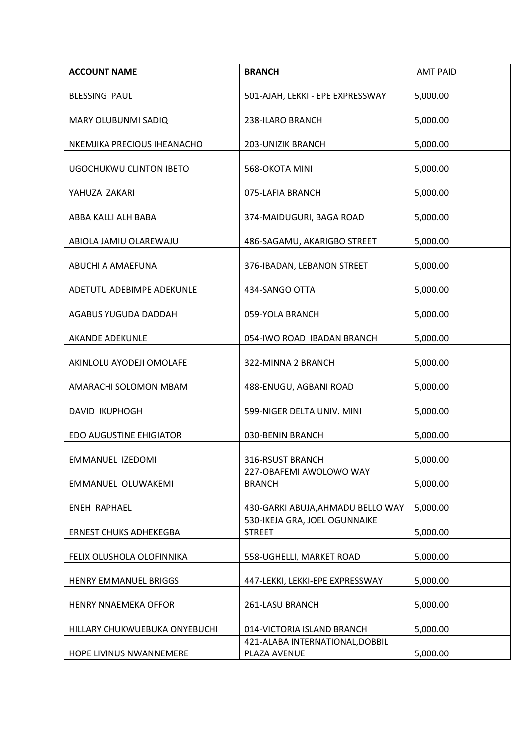| <b>ACCOUNT NAME</b>            | <b>BRANCH</b>                                   | <b>AMT PAID</b> |
|--------------------------------|-------------------------------------------------|-----------------|
| <b>BLESSING PAUL</b>           | 501-AJAH, LEKKI - EPE EXPRESSWAY                | 5,000.00        |
| MARY OLUBUNMI SADIQ            | 238-ILARO BRANCH                                | 5,000.00        |
| NKEMJIKA PRECIOUS IHEANACHO    | 203-UNIZIK BRANCH                               | 5,000.00        |
| <b>UGOCHUKWU CLINTON IBETO</b> | 568-OKOTA MINI                                  | 5,000.00        |
| YAHUZA ZAKARI                  | 075-LAFIA BRANCH                                | 5,000.00        |
| ABBA KALLI ALH BABA            | 374-MAIDUGURI, BAGA ROAD                        | 5,000.00        |
| ABIOLA JAMIU OLAREWAJU         | 486-SAGAMU, AKARIGBO STREET                     | 5,000.00        |
| ABUCHI A AMAEFUNA              | 376-IBADAN, LEBANON STREET                      | 5,000.00        |
| ADETUTU ADEBIMPE ADEKUNLE      | 434-SANGO OTTA                                  | 5,000.00        |
| AGABUS YUGUDA DADDAH           | 059-YOLA BRANCH                                 | 5,000.00        |
| AKANDE ADEKUNLE                | 054-IWO ROAD IBADAN BRANCH                      | 5,000.00        |
| AKINLOLU AYODEJI OMOLAFE       | 322-MINNA 2 BRANCH                              | 5,000.00        |
| AMARACHI SOLOMON MBAM          | 488-ENUGU, AGBANI ROAD                          | 5,000.00        |
| <b>DAVID IKUPHOGH</b>          | 599-NIGER DELTA UNIV. MINI                      | 5,000.00        |
| EDO AUGUSTINE EHIGIATOR        | 030-BENIN BRANCH                                | 5,000.00        |
| EMMANUEL IZEDOMI               | 316-RSUST BRANCH                                | 5,000.00        |
| EMMANUEL OLUWAKEMI             | 227-OBAFEMI AWOLOWO WAY<br><b>BRANCH</b>        | 5,000.00        |
| <b>ENEH RAPHAEL</b>            | 430-GARKI ABUJA, AHMADU BELLO WAY               | 5,000.00        |
| <b>ERNEST CHUKS ADHEKEGBA</b>  | 530-IKEJA GRA, JOEL OGUNNAIKE<br><b>STREET</b>  | 5,000.00        |
| FELIX OLUSHOLA OLOFINNIKA      | 558-UGHELLI, MARKET ROAD                        | 5,000.00        |
| HENRY EMMANUEL BRIGGS          | 447-LEKKI, LEKKI-EPE EXPRESSWAY                 | 5,000.00        |
| HENRY NNAEMEKA OFFOR           | 261-LASU BRANCH                                 | 5,000.00        |
| HILLARY CHUKWUEBUKA ONYEBUCHI  | 014-VICTORIA ISLAND BRANCH                      | 5,000.00        |
| HOPE LIVINUS NWANNEMERE        | 421-ALABA INTERNATIONAL, DOBBIL<br>PLAZA AVENUE | 5,000.00        |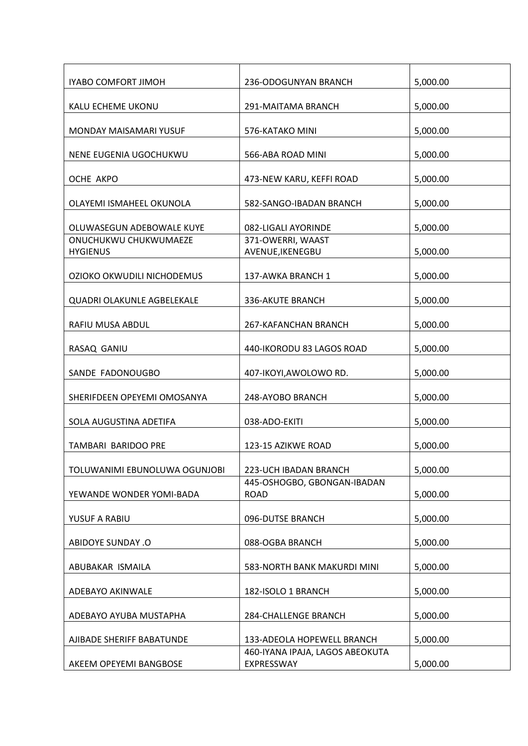| <b>IYABO COMFORT JIMOH</b>               | 236-ODOGUNYAN BRANCH                          | 5,000.00 |
|------------------------------------------|-----------------------------------------------|----------|
| KALU ECHEME UKONU                        | 291-MAITAMA BRANCH                            | 5,000.00 |
| MONDAY MAISAMARI YUSUF                   | 576-KATAKO MINI                               | 5,000.00 |
|                                          | 566-ABA ROAD MINI                             |          |
| NENE EUGENIA UGOCHUKWU                   |                                               | 5,000.00 |
| OCHE AKPO                                | 473-NEW KARU, KEFFI ROAD                      | 5,000.00 |
| OLAYEMI ISMAHEEL OKUNOLA                 | 582-SANGO-IBADAN BRANCH                       | 5,000.00 |
| OLUWASEGUN ADEBOWALE KUYE                | 082-LIGALI AYORINDE                           | 5,000.00 |
| ONUCHUKWU CHUKWUMAEZE<br><b>HYGIENUS</b> | 371-OWERRI, WAAST<br>AVENUE, IKENEGBU         | 5,000.00 |
|                                          |                                               |          |
| OZIOKO OKWUDILI NICHODEMUS               | 137-AWKA BRANCH 1                             | 5,000.00 |
| <b>QUADRI OLAKUNLE AGBELEKALE</b>        | 336-AKUTE BRANCH                              | 5,000.00 |
| RAFIU MUSA ABDUL                         | 267-KAFANCHAN BRANCH                          | 5,000.00 |
| RASAQ GANIU                              | 440-IKORODU 83 LAGOS ROAD                     | 5,000.00 |
| SANDE FADONOUGBO                         | 407-IKOYI, AWOLOWO RD.                        | 5,000.00 |
| SHERIFDEEN OPEYEMI OMOSANYA              | 248-AYOBO BRANCH                              | 5,000.00 |
| SOLA AUGUSTINA ADETIFA                   | 038-ADO-EKITI                                 | 5,000.00 |
| TAMBARI BARIDOO PRE                      | 123-15 AZIKWE ROAD                            | 5,000.00 |
| TOLUWANIMI EBUNOLUWA OGUNJOBI            | 223-UCH IBADAN BRANCH                         | 5,000.00 |
| YEWANDE WONDER YOMI-BADA                 | 445-OSHOGBO, GBONGAN-IBADAN<br><b>ROAD</b>    | 5,000.00 |
| YUSUF A RABIU                            | 096-DUTSE BRANCH                              | 5,000.00 |
| <b>ABIDOYE SUNDAY .O</b>                 | 088-OGBA BRANCH                               | 5,000.00 |
| ABUBAKAR ISMAILA                         | 583-NORTH BANK MAKURDI MINI                   | 5,000.00 |
|                                          |                                               |          |
| ADEBAYO AKINWALE                         | 182-ISOLO 1 BRANCH                            | 5,000.00 |
| ADEBAYO AYUBA MUSTAPHA                   | 284-CHALLENGE BRANCH                          | 5,000.00 |
| AJIBADE SHERIFF BABATUNDE                | 133-ADEOLA HOPEWELL BRANCH                    | 5,000.00 |
| AKEEM OPEYEMI BANGBOSE                   | 460-IYANA IPAJA, LAGOS ABEOKUTA<br>EXPRESSWAY | 5,000.00 |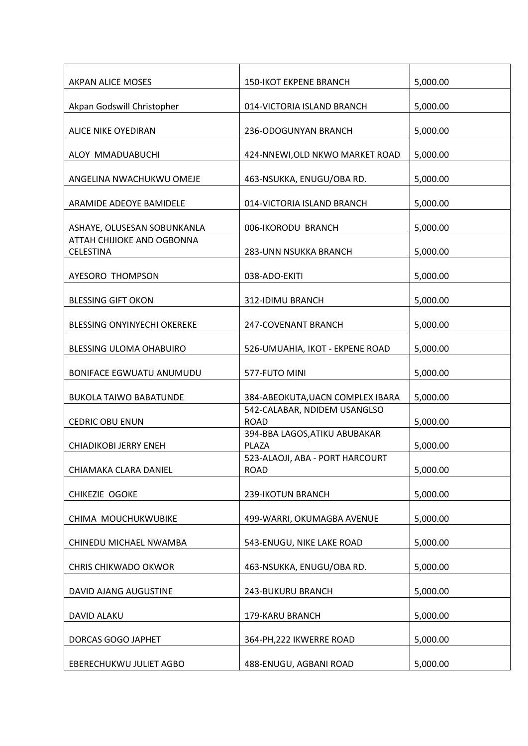| AKPAN ALICE MOSES                                         | <b>150-IKOT EKPENE BRANCH</b>                  | 5,000.00 |
|-----------------------------------------------------------|------------------------------------------------|----------|
| Akpan Godswill Christopher                                | 014-VICTORIA ISLAND BRANCH                     | 5,000.00 |
| ALICE NIKE OYEDIRAN                                       | 236-ODOGUNYAN BRANCH                           | 5,000.00 |
| ALOY MMADUABUCHI                                          | 424-NNEWI, OLD NKWO MARKET ROAD                | 5,000.00 |
| ANGELINA NWACHUKWU OMEJE                                  | 463-NSUKKA, ENUGU/OBA RD.                      | 5,000.00 |
| ARAMIDE ADEOYE BAMIDELE                                   | 014-VICTORIA ISLAND BRANCH                     | 5,000.00 |
|                                                           |                                                |          |
| ASHAYE, OLUSESAN SOBUNKANLA<br>ATTAH CHIJIOKE AND OGBONNA | 006-IKORODU BRANCH                             | 5,000.00 |
| <b>CELESTINA</b>                                          | 283-UNN NSUKKA BRANCH                          | 5,000.00 |
| AYESORO THOMPSON                                          | 038-ADO-EKITI                                  | 5,000.00 |
| <b>BLESSING GIFT OKON</b>                                 | 312-IDIMU BRANCH                               | 5,000.00 |
| BLESSING ONYINYECHI OKEREKE                               | 247-COVENANT BRANCH                            | 5,000.00 |
| BLESSING ULOMA OHABUIRO                                   | 526-UMUAHIA, IKOT - EKPENE ROAD                | 5,000.00 |
| <b>BONIFACE EGWUATU ANUMUDU</b>                           | 577-FUTO MINI                                  | 5,000.00 |
| <b>BUKOLA TAIWO BABATUNDE</b>                             | 384-ABEOKUTA, UACN COMPLEX IBARA               | 5,000.00 |
|                                                           | 542-CALABAR, NDIDEM USANGLSO                   |          |
| <b>CEDRIC OBU ENUN</b>                                    | <b>ROAD</b><br>394-BBA LAGOS, ATIKU ABUBAKAR   | 5,000.00 |
| <b>CHIADIKOBI JERRY ENEH</b>                              | PLAZA                                          | 5,000.00 |
| CHIAMAKA CLARA DANIEL                                     | 523-ALAOJI, ABA - PORT HARCOURT<br><b>ROAD</b> | 5,000.00 |
|                                                           |                                                |          |
| CHIKEZIE OGOKE                                            | 239-IKOTUN BRANCH                              | 5,000.00 |
| CHIMA MOUCHUKWUBIKE                                       | 499-WARRI, OKUMAGBA AVENUE                     | 5,000.00 |
| CHINEDU MICHAEL NWAMBA                                    | 543-ENUGU, NIKE LAKE ROAD                      | 5,000.00 |
| <b>CHRIS CHIKWADO OKWOR</b>                               | 463-NSUKKA, ENUGU/OBA RD.                      | 5,000.00 |
| DAVID AJANG AUGUSTINE                                     | 243-BUKURU BRANCH                              | 5,000.00 |
| DAVID ALAKU                                               | 179-KARU BRANCH                                | 5,000.00 |
| DORCAS GOGO JAPHET                                        | 364-PH, 222 IKWERRE ROAD                       | 5,000.00 |
| EBERECHUKWU JULIET AGBO                                   | 488-ENUGU, AGBANI ROAD                         | 5,000.00 |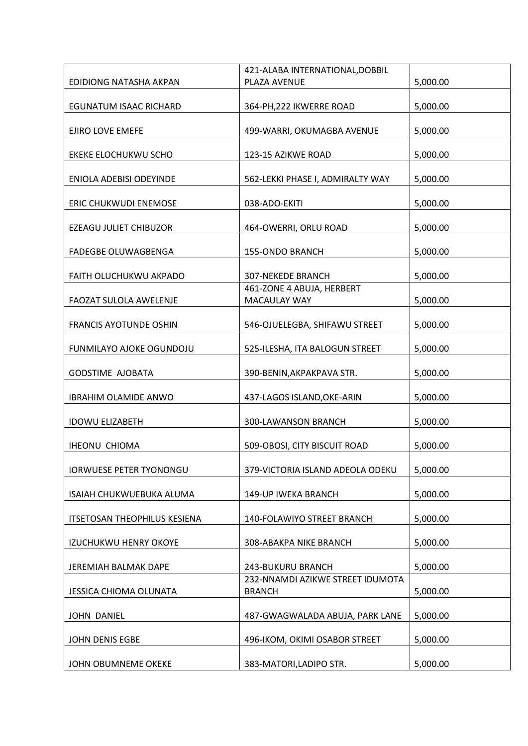|                                     | 421-ALABA INTERNATIONAL, DOBBIL                   |          |
|-------------------------------------|---------------------------------------------------|----------|
| EDIDIONG NATASHA AKPAN              | PLAZA AVENUE                                      | 5,000.00 |
| <b>EGUNATUM ISAAC RICHARD</b>       | 364-PH, 222 IKWERRE ROAD                          | 5,000.00 |
| EJIRO LOVE EMEFE                    | 499-WARRI, OKUMAGBA AVENUE                        | 5,000.00 |
|                                     |                                                   |          |
| EKEKE ELOCHUKWU SCHO                | 123-15 AZIKWE ROAD                                | 5,000.00 |
| <b>ENIOLA ADEBISI ODEYINDE</b>      | 562-LEKKI PHASE I, ADMIRALTY WAY                  | 5,000.00 |
| ERIC CHUKWUDI ENEMOSE               | 038-ADO-EKITI                                     | 5,000.00 |
| EZEAGU JULIET CHIBUZOR              | 464-OWERRI, ORLU ROAD                             | 5,000.00 |
| <b>FADEGBE OLUWAGBENGA</b>          | 155-ONDO BRANCH                                   | 5,000.00 |
| FAITH OLUCHUKWU AKPADO              | <b>307-NEKEDE BRANCH</b>                          | 5,000.00 |
| FAOZAT SULOLA AWELENJE              | 461-ZONE 4 ABUJA, HERBERT<br>MACAULAY WAY         | 5,000.00 |
| <b>FRANCIS AYOTUNDE OSHIN</b>       | 546-OJUELEGBA, SHIFAWU STREET                     | 5,000.00 |
| FUNMILAYO AJOKE OGUNDOJU            | 525-ILESHA, ITA BALOGUN STREET                    | 5,000.00 |
| <b>GODSTIME AJOBATA</b>             | 390-BENIN, AKPAKPAVA STR.                         | 5,000.00 |
| <b>IBRAHIM OLAMIDE ANWO</b>         | 437-LAGOS ISLAND, OKE-ARIN                        | 5,000.00 |
| <b>IDOWU ELIZABETH</b>              | 300-LAWANSON BRANCH                               | 5,000.00 |
| <b>IHEONU CHIOMA</b>                | 509-OBOSI, CITY BISCUIT ROAD                      | 5,000.00 |
| <b>IORWUESE PETER TYONONGU</b>      | 379-VICTORIA ISLAND ADEOLA ODEKU                  | 5,000.00 |
| ISAIAH CHUKWUEBUKA ALUMA            | 149-UP IWEKA BRANCH                               | 5,000.00 |
| <b>ITSETOSAN THEOPHILUS KESIENA</b> | 140-FOLAWIYO STREET BRANCH                        | 5,000.00 |
| <b>IZUCHUKWU HENRY OKOYE</b>        | 308-ABAKPA NIKE BRANCH                            | 5,000.00 |
| JEREMIAH BALMAK DAPE                | 243-BUKURU BRANCH                                 | 5,000.00 |
| <b>JESSICA CHIOMA OLUNATA</b>       | 232-NNAMDI AZIKWE STREET IDUMOTA<br><b>BRANCH</b> | 5,000.00 |
| JOHN DANIEL                         | 487-GWAGWALADA ABUJA, PARK LANE                   | 5,000.00 |
| JOHN DENIS EGBE                     | 496-IKOM, OKIMI OSABOR STREET                     | 5,000.00 |
| JOHN OBUMNEME OKEKE                 | 383-MATORI, LADIPO STR.                           | 5,000.00 |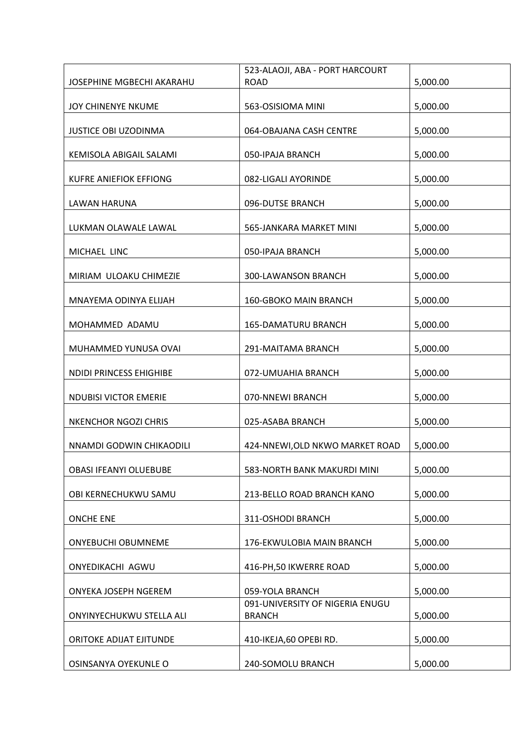|                               | 523-ALAOJI, ABA - PORT HARCOURT                  |          |
|-------------------------------|--------------------------------------------------|----------|
| JOSEPHINE MGBECHI AKARAHU     | <b>ROAD</b>                                      | 5,000.00 |
| JOY CHINENYE NKUME            | 563-OSISIOMA MINI                                | 5,000.00 |
|                               |                                                  |          |
| <b>JUSTICE OBI UZODINMA</b>   | 064-OBAJANA CASH CENTRE                          | 5,000.00 |
| KEMISOLA ABIGAIL SALAMI       | 050-IPAJA BRANCH                                 | 5,000.00 |
| <b>KUFRE ANIEFIOK EFFIONG</b> | 082-LIGALI AYORINDE                              | 5,000.00 |
| <b>LAWAN HARUNA</b>           | 096-DUTSE BRANCH                                 | 5,000.00 |
| LUKMAN OLAWALE LAWAL          | 565-JANKARA MARKET MINI                          | 5,000.00 |
| MICHAEL LINC                  | 050-IPAJA BRANCH                                 | 5,000.00 |
| MIRIAM ULOAKU CHIMEZIE        | 300-LAWANSON BRANCH                              | 5,000.00 |
| MNAYEMA ODINYA ELIJAH         | 160-GBOKO MAIN BRANCH                            | 5,000.00 |
| MOHAMMED ADAMU                | <b>165-DAMATURU BRANCH</b>                       | 5,000.00 |
| MUHAMMED YUNUSA OVAI          | 291-MAITAMA BRANCH                               | 5,000.00 |
| NDIDI PRINCESS EHIGHIBE       | 072-UMUAHIA BRANCH                               | 5,000.00 |
| <b>NDUBISI VICTOR EMERIE</b>  | 070-NNEWI BRANCH                                 | 5,000.00 |
| <b>NKENCHOR NGOZI CHRIS</b>   | 025-ASABA BRANCH                                 | 5,000.00 |
| NNAMDI GODWIN CHIKAODILI      | 424-NNEWI, OLD NKWO MARKET ROAD                  | 5,000.00 |
| OBASI IFEANYI OLUEBUBE        | 583-NORTH BANK MAKURDI MINI                      | 5,000.00 |
| OBI KERNECHUKWU SAMU          | 213-BELLO ROAD BRANCH KANO                       | 5,000.00 |
| <b>ONCHE ENE</b>              | 311-OSHODI BRANCH                                | 5,000.00 |
| <b>ONYEBUCHI OBUMNEME</b>     | 176-EKWULOBIA MAIN BRANCH                        | 5,000.00 |
| ONYEDIKACHI AGWU              | 416-PH, 50 IKWERRE ROAD                          | 5,000.00 |
| ONYEKA JOSEPH NGEREM          | 059-YOLA BRANCH                                  | 5,000.00 |
| ONYINYECHUKWU STELLA ALI      | 091-UNIVERSITY OF NIGERIA ENUGU<br><b>BRANCH</b> | 5,000.00 |
| ORITOKE ADIJAT EJITUNDE       | 410-IKEJA,60 OPEBI RD.                           | 5,000.00 |
| OSINSANYA OYEKUNLE O          | 240-SOMOLU BRANCH                                | 5,000.00 |